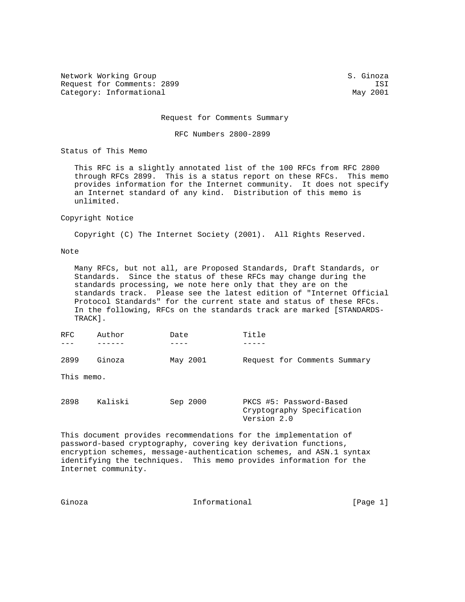Network Working Group S. Ginoza Request for Comments: 2899 ISI<br>Category: Informational and Category: Informational Category: Informational

Request for Comments Summary

RFC Numbers 2800-2899

Status of This Memo

 This RFC is a slightly annotated list of the 100 RFCs from RFC 2800 through RFCs 2899. This is a status report on these RFCs. This memo provides information for the Internet community. It does not specify an Internet standard of any kind. Distribution of this memo is unlimited.

## Copyright Notice

Copyright (C) The Internet Society (2001). All Rights Reserved.

## Note

 Many RFCs, but not all, are Proposed Standards, Draft Standards, or Standards. Since the status of these RFCs may change during the standards processing, we note here only that they are on the standards track. Please see the latest edition of "Internet Official Protocol Standards" for the current state and status of these RFCs. In the following, RFCs on the standards track are marked [STANDARDS- TRACK].

| RFC.       | Author  | Date     | Title                                                 |
|------------|---------|----------|-------------------------------------------------------|
|            |         |          |                                                       |
| 2899       | Ginoza  | May 2001 | Request for Comments Summary                          |
| This memo. |         |          |                                                       |
| 2898       | Kaliski | Sep 2000 | PKCS #5: Password-Based<br>Cryptography Specification |

This document provides recommendations for the implementation of password-based cryptography, covering key derivation functions, encryption schemes, message-authentication schemes, and ASN.1 syntax identifying the techniques. This memo provides information for the Internet community.

Version 2.0

| Ginoza | Informational | [Page 1] |  |
|--------|---------------|----------|--|
|        |               |          |  |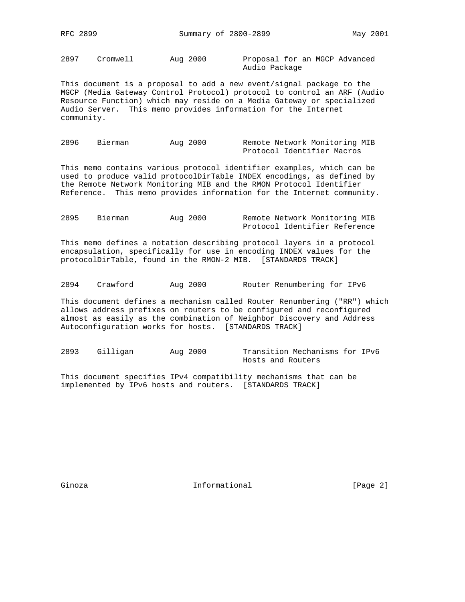2897 Cromwell Aug 2000 Proposal for an MGCP Advanced

Audio Package

This document is a proposal to add a new event/signal package to the MGCP (Media Gateway Control Protocol) protocol to control an ARF (Audio Resource Function) which may reside on a Media Gateway or specialized Audio Server. This memo provides information for the Internet community.

2896 Bierman Aug 2000 Remote Network Monitoring MIB Protocol Identifier Macros

This memo contains various protocol identifier examples, which can be used to produce valid protocolDirTable INDEX encodings, as defined by the Remote Network Monitoring MIB and the RMON Protocol Identifier Reference. This memo provides information for the Internet community.

| 2895 | Bierman | Aug 2000 |  | Remote Network Monitoring MIB |
|------|---------|----------|--|-------------------------------|
|      |         |          |  | Protocol Identifier Reference |

This memo defines a notation describing protocol layers in a protocol encapsulation, specifically for use in encoding INDEX values for the protocolDirTable, found in the RMON-2 MIB. [STANDARDS TRACK]

2894 Crawford Aug 2000 Router Renumbering for IPv6

This document defines a mechanism called Router Renumbering ("RR") which allows address prefixes on routers to be configured and reconfigured almost as easily as the combination of Neighbor Discovery and Address Autoconfiguration works for hosts. [STANDARDS TRACK]

2893 Gilligan Aug 2000 Transition Mechanisms for IPv6 Hosts and Routers

This document specifies IPv4 compatibility mechanisms that can be implemented by IPv6 hosts and routers. [STANDARDS TRACK]

Ginoza **Informational** Informational [Page 2]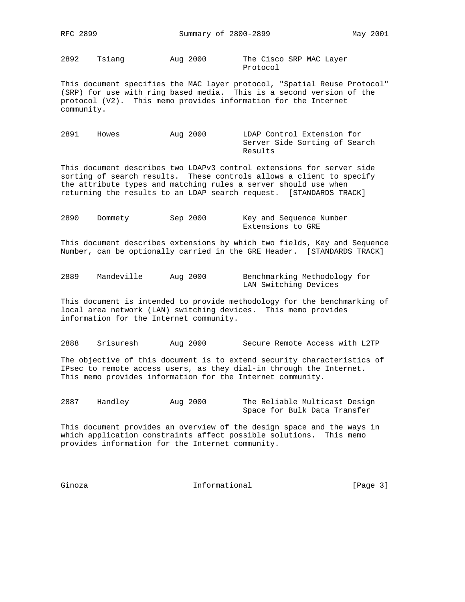2892 Tsiang Aug 2000 The Cisco SRP MAC Layer

Protocol

This document specifies the MAC layer protocol, "Spatial Reuse Protocol" (SRP) for use with ring based media. This is a second version of the protocol (V2). This memo provides information for the Internet community.

2891 Howes Aug 2000 LDAP Control Extension for Server Side Sorting of Search Results

This document describes two LDAPv3 control extensions for server side sorting of search results. These controls allows a client to specify the attribute types and matching rules a server should use when returning the results to an LDAP search request. [STANDARDS TRACK]

2890 Dommety Sep 2000 Key and Sequence Number Extensions to GRE

This document describes extensions by which two fields, Key and Sequence Number, can be optionally carried in the GRE Header. [STANDARDS TRACK]

| 2889 | Mandeville | Aug 2000 | Benchmarking Methodology for |
|------|------------|----------|------------------------------|
|      |            |          | LAN Switching Devices        |

This document is intended to provide methodology for the benchmarking of local area network (LAN) switching devices. This memo provides information for the Internet community.

2888 Srisuresh Aug 2000 Secure Remote Access with L2TP

The objective of this document is to extend security characteristics of IPsec to remote access users, as they dial-in through the Internet. This memo provides information for the Internet community.

2887 Handley Aug 2000 The Reliable Multicast Design Space for Bulk Data Transfer

This document provides an overview of the design space and the ways in which application constraints affect possible solutions. This memo provides information for the Internet community.

Ginoza **Informational** Informational [Page 3]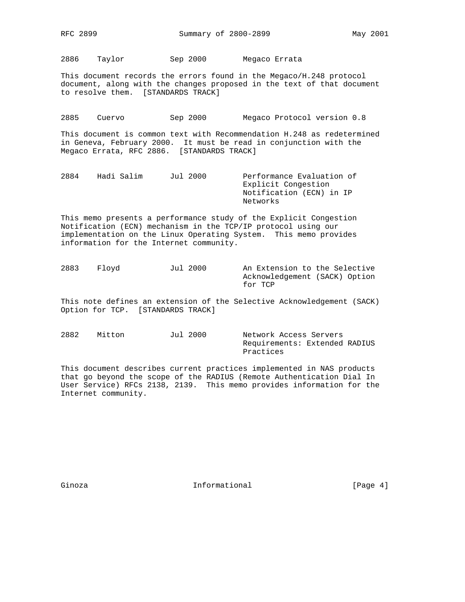2886 Taylor Sep 2000 Megaco Errata

This document records the errors found in the Megaco/H.248 protocol document, along with the changes proposed in the text of that document to resolve them. [STANDARDS TRACK]

2885 Cuervo Sep 2000 Megaco Protocol version 0.8

This document is common text with Recommendation H.248 as redetermined in Geneva, February 2000. It must be read in conjunction with the Megaco Errata, RFC 2886. [STANDARDS TRACK]

2884 Hadi Salim Jul 2000 Performance Evaluation of Explicit Congestion Notification (ECN) in IP Networks

This memo presents a performance study of the Explicit Congestion Notification (ECN) mechanism in the TCP/IP protocol using our implementation on the Linux Operating System. This memo provides information for the Internet community.

2883 Floyd Jul 2000 An Extension to the Selective Acknowledgement (SACK) Option for TCP

This note defines an extension of the Selective Acknowledgement (SACK) Option for TCP. [STANDARDS TRACK]

2882 Mitton Jul 2000 Network Access Servers Requirements: Extended RADIUS Practices

This document describes current practices implemented in NAS products that go beyond the scope of the RADIUS (Remote Authentication Dial In User Service) RFCs 2138, 2139. This memo provides information for the Internet community.

Ginoza **Informational Informational** [Page 4]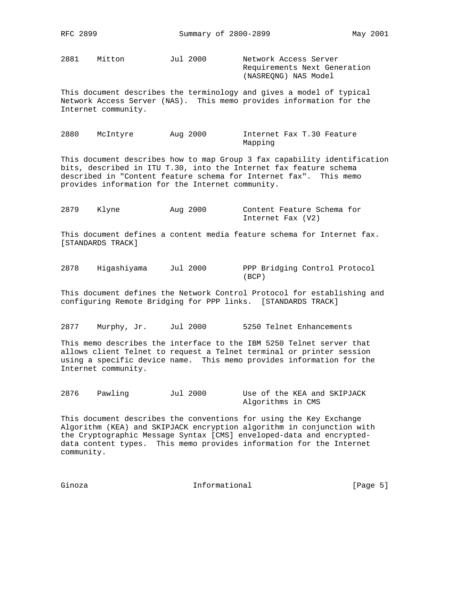2881 Mitton Jul 2000 Network Access Server

 Requirements Next Generation (NASREQNG) NAS Model

This document describes the terminology and gives a model of typical Network Access Server (NAS). This memo provides information for the Internet community.

2880 McIntyre Aug 2000 Internet Fax T.30 Feature Mapping

This document describes how to map Group 3 fax capability identification bits, described in ITU T.30, into the Internet fax feature schema described in "Content feature schema for Internet fax". This memo provides information for the Internet community.

2879 Klyne Aug 2000 Content Feature Schema for Internet Fax (V2)

This document defines a content media feature schema for Internet fax. [STANDARDS TRACK]

2878 Higashiyama Jul 2000 PPP Bridging Control Protocol (BCP)

This document defines the Network Control Protocol for establishing and configuring Remote Bridging for PPP links. [STANDARDS TRACK]

2877 Murphy, Jr. Jul 2000 5250 Telnet Enhancements

This memo describes the interface to the IBM 5250 Telnet server that allows client Telnet to request a Telnet terminal or printer session using a specific device name. This memo provides information for the Internet community.

2876 Pawling Jul 2000 Use of the KEA and SKIPJACK Algorithms in CMS

This document describes the conventions for using the Key Exchange Algorithm (KEA) and SKIPJACK encryption algorithm in conjunction with the Cryptographic Message Syntax [CMS] enveloped-data and encrypteddata content types. This memo provides information for the Internet community.

Ginoza **Informational Informational Informational** [Page 5]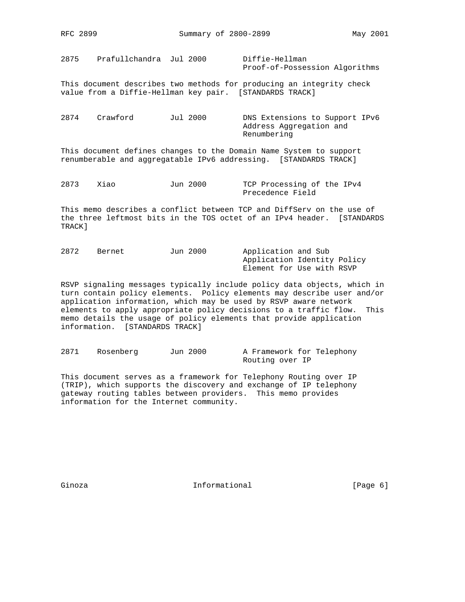2875 Prafullchandra Jul 2000 Diffie-Hellman Proof-of-Possession Algorithms

This document describes two methods for producing an integrity check value from a Diffie-Hellman key pair. [STANDARDS TRACK]

2874 Crawford Jul 2000 DNS Extensions to Support IPv6 Address Aggregation and Renumbering

This document defines changes to the Domain Name System to support renumberable and aggregatable IPv6 addressing. [STANDARDS TRACK]

2873 Xiao Jun 2000 TCP Processing of the IPv4 Precedence Field

This memo describes a conflict between TCP and DiffServ on the use of the three leftmost bits in the TOS octet of an IPv4 header. [STANDARDS TRACK]

2872 Bernet Jun 2000 Application and Sub Application Identity Policy Element for Use with RSVP

RSVP signaling messages typically include policy data objects, which in turn contain policy elements. Policy elements may describe user and/or application information, which may be used by RSVP aware network elements to apply appropriate policy decisions to a traffic flow. This memo details the usage of policy elements that provide application information. [STANDARDS TRACK]

2871 Rosenberg Jun 2000 A Framework for Telephony Routing over IP

This document serves as a framework for Telephony Routing over IP (TRIP), which supports the discovery and exchange of IP telephony gateway routing tables between providers. This memo provides information for the Internet community.

Ginoza **Informational Informational** [Page 6]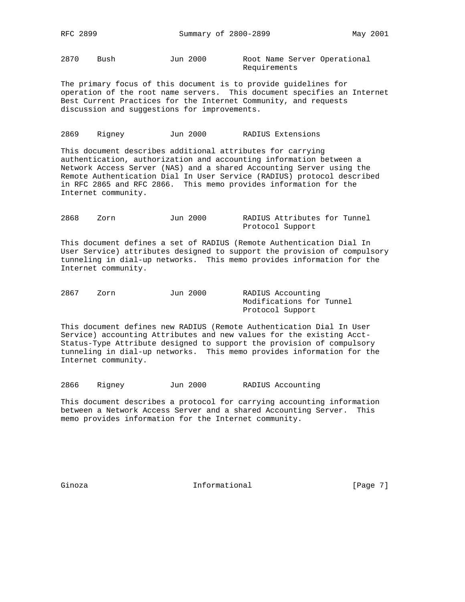2870 Bush Jun 2000 Root Name Server Operational Requirements

The primary focus of this document is to provide guidelines for operation of the root name servers. This document specifies an Internet Best Current Practices for the Internet Community, and requests discussion and suggestions for improvements.

2869 Rigney Jun 2000 RADIUS Extensions

This document describes additional attributes for carrying authentication, authorization and accounting information between a Network Access Server (NAS) and a shared Accounting Server using the Remote Authentication Dial In User Service (RADIUS) protocol described in RFC 2865 and RFC 2866. This memo provides information for the Internet community.

| 2868 | Zorn | Jun 2000 |  | RADIUS Attributes for Tunnel |  |
|------|------|----------|--|------------------------------|--|
|      |      |          |  | Protocol Support             |  |

This document defines a set of RADIUS (Remote Authentication Dial In User Service) attributes designed to support the provision of compulsory tunneling in dial-up networks. This memo provides information for the Internet community.

| 2867 | Zorn | Jun 2000 |                          | RADIUS Accounting |  |
|------|------|----------|--------------------------|-------------------|--|
|      |      |          | Modifications for Tunnel |                   |  |
|      |      |          | Protocol Support         |                   |  |

This document defines new RADIUS (Remote Authentication Dial In User Service) accounting Attributes and new values for the existing Acct-Status-Type Attribute designed to support the provision of compulsory tunneling in dial-up networks. This memo provides information for the Internet community.

2866 Rigney Jun 2000 RADIUS Accounting

This document describes a protocol for carrying accounting information between a Network Access Server and a shared Accounting Server. This memo provides information for the Internet community.

Ginoza **Informational** Informational [Page 7]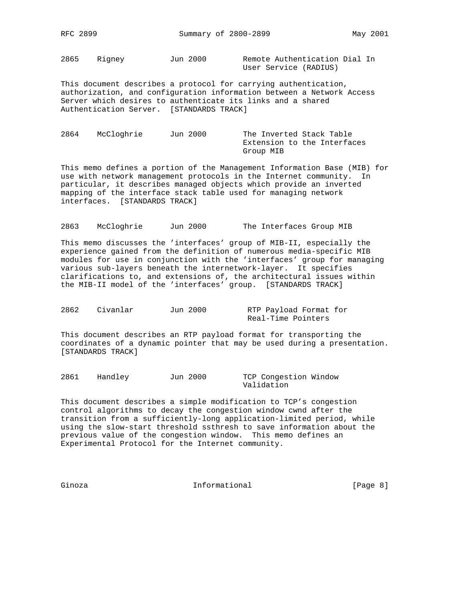2865 Rigney Jun 2000 Remote Authentication Dial In User Service (RADIUS)

This document describes a protocol for carrying authentication, authorization, and configuration information between a Network Access Server which desires to authenticate its links and a shared Authentication Server. [STANDARDS TRACK]

2864 McCloghrie Jun 2000 The Inverted Stack Table Extension to the Interfaces Group MIB

This memo defines a portion of the Management Information Base (MIB) for use with network management protocols in the Internet community. In particular, it describes managed objects which provide an inverted mapping of the interface stack table used for managing network interfaces. [STANDARDS TRACK]

2863 McCloghrie Jun 2000 The Interfaces Group MIB

This memo discusses the 'interfaces' group of MIB-II, especially the experience gained from the definition of numerous media-specific MIB modules for use in conjunction with the 'interfaces' group for managing various sub-layers beneath the internetwork-layer. It specifies clarifications to, and extensions of, the architectural issues within the MIB-II model of the 'interfaces' group. [STANDARDS TRACK]

| 2862 | Civanlar | Jun 2000 | RTP Payload Format for |  |
|------|----------|----------|------------------------|--|
|      |          |          | Real-Time Pointers     |  |

This document describes an RTP payload format for transporting the coordinates of a dynamic pointer that may be used during a presentation. [STANDARDS TRACK]

2861 Handley Jun 2000 TCP Congestion Window Validation

This document describes a simple modification to TCP's congestion control algorithms to decay the congestion window cwnd after the transition from a sufficiently-long application-limited period, while using the slow-start threshold ssthresh to save information about the previous value of the congestion window. This memo defines an Experimental Protocol for the Internet community.

Ginoza **Informational Informational Informational Example 1** (Page 8)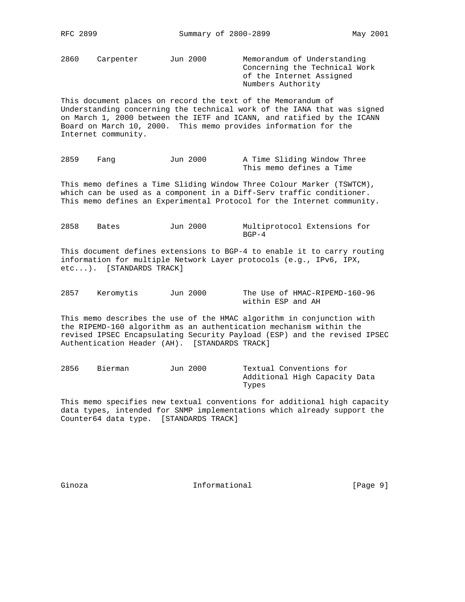2860 Carpenter Jun 2000 Memorandum of Understanding Concerning the Technical Work of the Internet Assigned Numbers Authority

This document places on record the text of the Memorandum of Understanding concerning the technical work of the IANA that was signed on March 1, 2000 between the IETF and ICANN, and ratified by the ICANN Board on March 10, 2000. This memo provides information for the Internet community.

2859 Fang Jun 2000 A Time Sliding Window Three This memo defines a Time

This memo defines a Time Sliding Window Three Colour Marker (TSWTCM), which can be used as a component in a Diff-Serv traffic conditioner. This memo defines an Experimental Protocol for the Internet community.

2858 Bates Jun 2000 Multiprotocol Extensions for  $\text{BGP}-4$ 

This document defines extensions to BGP-4 to enable it to carry routing information for multiple Network Layer protocols (e.g., IPv6, IPX, etc...). [STANDARDS TRACK]

2857 Keromytis Jun 2000 The Use of HMAC-RIPEMD-160-96 within ESP and AH

This memo describes the use of the HMAC algorithm in conjunction with the RIPEMD-160 algorithm as an authentication mechanism within the revised IPSEC Encapsulating Security Payload (ESP) and the revised IPSEC Authentication Header (AH). [STANDARDS TRACK]

2856 Bierman Jun 2000 Textual Conventions for Additional High Capacity Data Types

This memo specifies new textual conventions for additional high capacity data types, intended for SNMP implementations which already support the Counter64 data type. [STANDARDS TRACK]

Ginoza **Informational Informational Informational** [Page 9]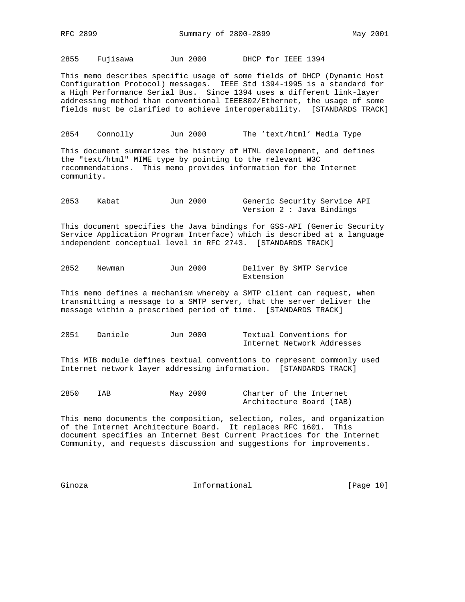2855 Fujisawa Jun 2000 DHCP for IEEE 1394

This memo describes specific usage of some fields of DHCP (Dynamic Host Configuration Protocol) messages. IEEE Std 1394-1995 is a standard for a High Performance Serial Bus. Since 1394 uses a different link-layer addressing method than conventional IEEE802/Ethernet, the usage of some fields must be clarified to achieve interoperability. [STANDARDS TRACK]

2854 Connolly Jun 2000 The 'text/html' Media Type

This document summarizes the history of HTML development, and defines the "text/html" MIME type by pointing to the relevant W3C recommendations. This memo provides information for the Internet community.

2853 Kabat Jun 2000 Generic Security Service API Version 2 : Java Bindings

This document specifies the Java bindings for GSS-API (Generic Security Service Application Program Interface) which is described at a language independent conceptual level in RFC 2743. [STANDARDS TRACK]

| 2852 | Newman | Jun 2000 | Deliver By SMTP Service |  |  |
|------|--------|----------|-------------------------|--|--|
|      |        |          | Extension               |  |  |

This memo defines a mechanism whereby a SMTP client can request, when transmitting a message to a SMTP server, that the server deliver the message within a prescribed period of time. [STANDARDS TRACK]

| 2851 | Daniele | Jun 2000 | Textual Conventions for    |
|------|---------|----------|----------------------------|
|      |         |          | Internet Network Addresses |

This MIB module defines textual conventions to represent commonly used Internet network layer addressing information. [STANDARDS TRACK]

| 2850 | IAB | May 2000 | Charter of the Internet  |  |  |
|------|-----|----------|--------------------------|--|--|
|      |     |          | Architecture Board (IAB) |  |  |

This memo documents the composition, selection, roles, and organization of the Internet Architecture Board. It replaces RFC 1601. This document specifies an Internet Best Current Practices for the Internet Community, and requests discussion and suggestions for improvements.

Ginoza **Informational** Informational [Page 10]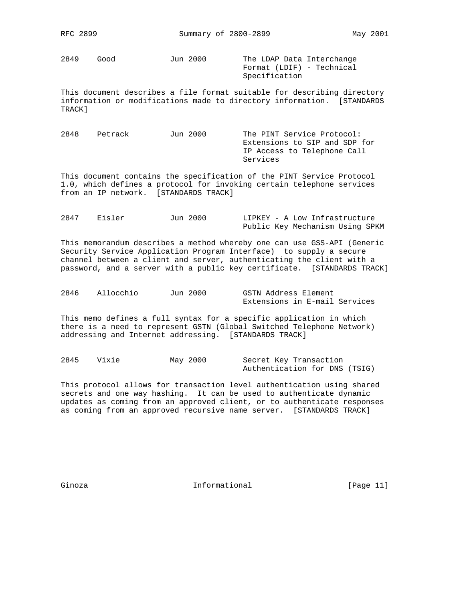2849 Good Jun 2000 The LDAP Data Interchange

 Format (LDIF) - Technical Specification

This document describes a file format suitable for describing directory information or modifications made to directory information. [STANDARDS TRACK]

2848 Petrack Jun 2000 The PINT Service Protocol: Extensions to SIP and SDP for IP Access to Telephone Call Services

This document contains the specification of the PINT Service Protocol 1.0, which defines a protocol for invoking certain telephone services from an IP network. [STANDARDS TRACK]

| 2847 | Eisler | Jun 2000 |  | LIPKEY - A Low Infrastructure   |  |
|------|--------|----------|--|---------------------------------|--|
|      |        |          |  | Public Key Mechanism Using SPKM |  |

This memorandum describes a method whereby one can use GSS-API (Generic Security Service Application Program Interface) to supply a secure channel between a client and server, authenticating the client with a password, and a server with a public key certificate. [STANDARDS TRACK]

| 2846 | Allocchio | Jun 2000 | GSTN Address Element          |
|------|-----------|----------|-------------------------------|
|      |           |          | Extensions in E-mail Services |

This memo defines a full syntax for a specific application in which there is a need to represent GSTN (Global Switched Telephone Network) addressing and Internet addressing. [STANDARDS TRACK]

2845 Vixie May 2000 Secret Key Transaction Authentication for DNS (TSIG)

This protocol allows for transaction level authentication using shared secrets and one way hashing. It can be used to authenticate dynamic updates as coming from an approved client, or to authenticate responses as coming from an approved recursive name server. [STANDARDS TRACK]

Ginoza **Informational** Informational [Page 11]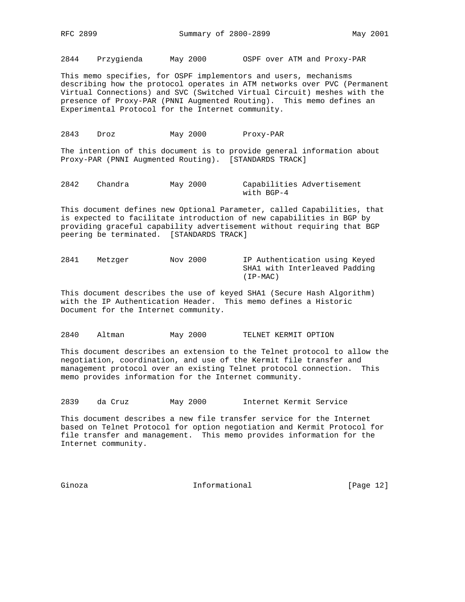2844 Przygienda May 2000 OSPF over ATM and Proxy-PAR

This memo specifies, for OSPF implementors and users, mechanisms describing how the protocol operates in ATM networks over PVC (Permanent Virtual Connections) and SVC (Switched Virtual Circuit) meshes with the presence of Proxy-PAR (PNNI Augmented Routing). This memo defines an Experimental Protocol for the Internet community.

2843 Droz May 2000 Proxy-PAR

The intention of this document is to provide general information about Proxy-PAR (PNNI Augmented Routing). [STANDARDS TRACK]

2842 Chandra May 2000 Capabilities Advertisement with BGP-4

This document defines new Optional Parameter, called Capabilities, that is expected to facilitate introduction of new capabilities in BGP by providing graceful capability advertisement without requiring that BGP peering be terminated. [STANDARDS TRACK]

2841 Metzger Nov 2000 IP Authentication using Keyed SHA1 with Interleaved Padding (IP-MAC)

This document describes the use of keyed SHA1 (Secure Hash Algorithm) with the IP Authentication Header. This memo defines a Historic Document for the Internet community.

2840 Altman May 2000 TELNET KERMIT OPTION

This document describes an extension to the Telnet protocol to allow the negotiation, coordination, and use of the Kermit file transfer and management protocol over an existing Telnet protocol connection. This memo provides information for the Internet community.

2839 da Cruz May 2000 Internet Kermit Service

This document describes a new file transfer service for the Internet based on Telnet Protocol for option negotiation and Kermit Protocol for file transfer and management. This memo provides information for the Internet community.

Ginoza **Informational Informational** [Page 12]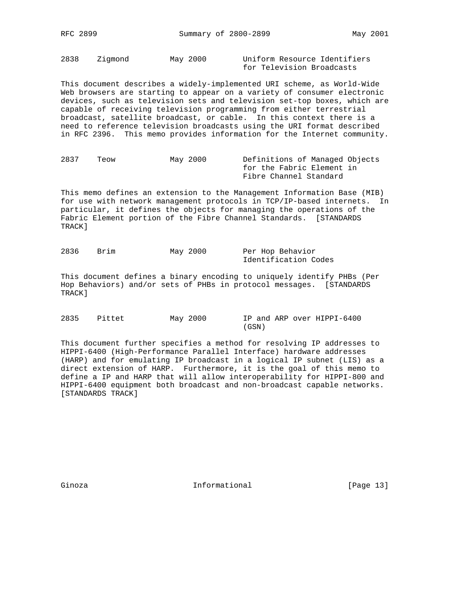2838 Zigmond May 2000 Uniform Resource Identifiers for Television Broadcasts

This document describes a widely-implemented URI scheme, as World-Wide Web browsers are starting to appear on a variety of consumer electronic devices, such as television sets and television set-top boxes, which are capable of receiving television programming from either terrestrial broadcast, satellite broadcast, or cable. In this context there is a need to reference television broadcasts using the URI format described in RFC 2396. This memo provides information for the Internet community.

| 2837 | Teow | May 2000 | Definitions of Managed Objects |
|------|------|----------|--------------------------------|
|      |      |          | for the Fabric Element in      |
|      |      |          | Fibre Channel Standard         |

This memo defines an extension to the Management Information Base (MIB) for use with network management protocols in TCP/IP-based internets. In particular, it defines the objects for managing the operations of the Fabric Element portion of the Fibre Channel Standards. [STANDARDS TRACK]

| 2836 | Brim | May 2000 |  | Per Hop Behavior     |  |
|------|------|----------|--|----------------------|--|
|      |      |          |  | Identification Codes |  |

This document defines a binary encoding to uniquely identify PHBs (Per Hop Behaviors) and/or sets of PHBs in protocol messages. [STANDARDS TRACK]

2835 Pittet May 2000 IP and ARP over HIPPI-6400 (GSN)

This document further specifies a method for resolving IP addresses to HIPPI-6400 (High-Performance Parallel Interface) hardware addresses (HARP) and for emulating IP broadcast in a logical IP subnet (LIS) as a direct extension of HARP. Furthermore, it is the goal of this memo to define a IP and HARP that will allow interoperability for HIPPI-800 and HIPPI-6400 equipment both broadcast and non-broadcast capable networks. [STANDARDS TRACK]

Ginoza **Informational** Informational [Page 13]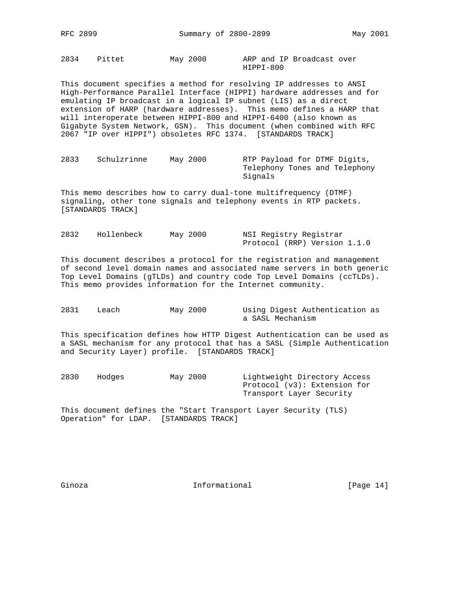2834 Pittet May 2000 ARP and IP Broadcast over HIPPI-800

This document specifies a method for resolving IP addresses to ANSI High-Performance Parallel Interface (HIPPI) hardware addresses and for emulating IP broadcast in a logical IP subnet (LIS) as a direct extension of HARP (hardware addresses). This memo defines a HARP that will interoperate between HIPPI-800 and HIPPI-6400 (also known as Gigabyte System Network, GSN). This document (when combined with RFC 2067 "IP over HIPPI") obsoletes RFC 1374. [STANDARDS TRACK]

| 2833 | Schulzrinne | May 2000 | RTP Payload for DTMF Digits,  |
|------|-------------|----------|-------------------------------|
|      |             |          | Telephony Tones and Telephony |
|      |             |          | Signals                       |

This memo describes how to carry dual-tone multifrequency (DTMF) signaling, other tone signals and telephony events in RTP packets. [STANDARDS TRACK]

| 2832 | Hollenbeck | May 2000 | NSI Registry Registrar       |
|------|------------|----------|------------------------------|
|      |            |          | Protocol (RRP) Version 1.1.0 |

This document describes a protocol for the registration and management of second level domain names and associated name servers in both generic Top Level Domains (gTLDs) and country code Top Level Domains (ccTLDs). This memo provides information for the Internet community.

| 2831 | Leach | May 2000 |                  | Using Digest Authentication as |  |
|------|-------|----------|------------------|--------------------------------|--|
|      |       |          | a SASL Mechanism |                                |  |

This specification defines how HTTP Digest Authentication can be used as a SASL mechanism for any protocol that has a SASL (Simple Authentication and Security Layer) profile. [STANDARDS TRACK]

| 2830 | Hodges | May 2000 | Lightweight Directory Access |
|------|--------|----------|------------------------------|
|      |        |          | Protocol (v3): Extension for |
|      |        |          | Transport Layer Security     |

This document defines the "Start Transport Layer Security (TLS) Operation" for LDAP. [STANDARDS TRACK]

Ginoza **Informational** Informational [Page 14]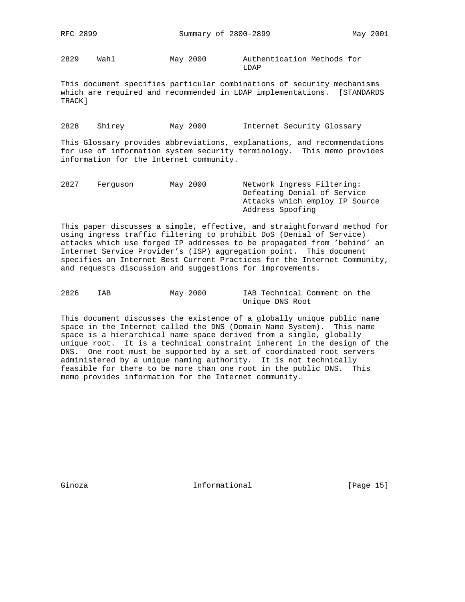2829 Wahl May 2000 Authentication Methods for LDAP

This document specifies particular combinations of security mechanisms which are required and recommended in LDAP implementations. [STANDARDS TRACK]

2828 Shirey May 2000 Internet Security Glossary

This Glossary provides abbreviations, explanations, and recommendations for use of information system security terminology. This memo provides information for the Internet community.

| 2827 | Ferquson | May 2000 | Network Ingress Filtering:     |  |  |  |  |
|------|----------|----------|--------------------------------|--|--|--|--|
|      |          |          | Defeating Denial of Service    |  |  |  |  |
|      |          |          | Attacks which employ IP Source |  |  |  |  |
|      |          |          | Address Spoofing               |  |  |  |  |

This paper discusses a simple, effective, and straightforward method for using ingress traffic filtering to prohibit DoS (Denial of Service) attacks which use forged IP addresses to be propagated from 'behind' an Internet Service Provider's (ISP) aggregation point. This document specifies an Internet Best Current Practices for the Internet Community, and requests discussion and suggestions for improvements.

| 2826 | IAB | May 2000 | IAB Technical Comment on the |
|------|-----|----------|------------------------------|
|      |     |          | Unique DNS Root              |

This document discusses the existence of a globally unique public name space in the Internet called the DNS (Domain Name System). This name space is a hierarchical name space derived from a single, globally unique root. It is a technical constraint inherent in the design of the DNS. One root must be supported by a set of coordinated root servers administered by a unique naming authority. It is not technically feasible for there to be more than one root in the public DNS. This memo provides information for the Internet community.

Ginoza **Informational** Informational [Page 15]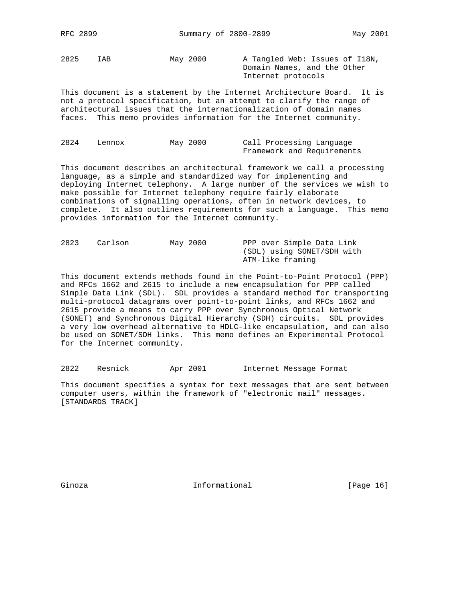2825 IAB May 2000 A Tangled Web: Issues of I18N,

 Domain Names, and the Other Internet protocols

This document is a statement by the Internet Architecture Board. It is not a protocol specification, but an attempt to clarify the range of architectural issues that the internationalization of domain names faces. This memo provides information for the Internet community.

| 2824 | Lennox | May 2000 |  | Call Processing Language   |
|------|--------|----------|--|----------------------------|
|      |        |          |  | Framework and Requirements |

This document describes an architectural framework we call a processing language, as a simple and standardized way for implementing and deploying Internet telephony. A large number of the services we wish to make possible for Internet telephony require fairly elaborate combinations of signalling operations, often in network devices, to complete. It also outlines requirements for such a language. This memo provides information for the Internet community.

| 2823 | Carlson | May 2000 | PPP over Simple Data Link  |
|------|---------|----------|----------------------------|
|      |         |          | (SDL) using SONET/SDH with |
|      |         |          | ATM-like framing           |

This document extends methods found in the Point-to-Point Protocol (PPP) and RFCs 1662 and 2615 to include a new encapsulation for PPP called Simple Data Link (SDL). SDL provides a standard method for transporting multi-protocol datagrams over point-to-point links, and RFCs 1662 and 2615 provide a means to carry PPP over Synchronous Optical Network (SONET) and Synchronous Digital Hierarchy (SDH) circuits. SDL provides a very low overhead alternative to HDLC-like encapsulation, and can also be used on SONET/SDH links. This memo defines an Experimental Protocol for the Internet community.

2822 Resnick Apr 2001 Internet Message Format

This document specifies a syntax for text messages that are sent between computer users, within the framework of "electronic mail" messages. [STANDARDS TRACK]

Ginoza **Informational Informational** [Page 16]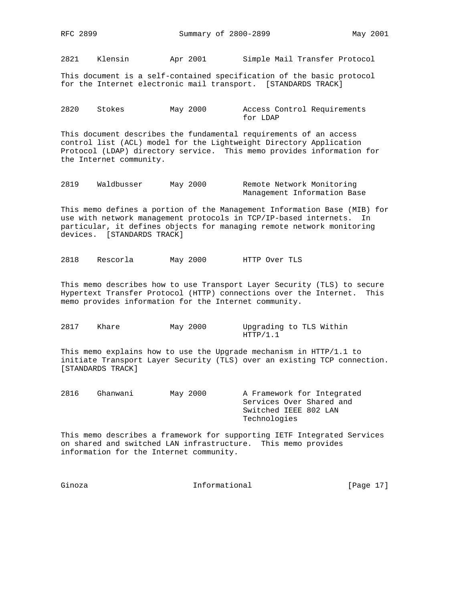2821 Klensin Apr 2001 Simple Mail Transfer Protocol

This document is a self-contained specification of the basic protocol for the Internet electronic mail transport. [STANDARDS TRACK]

| 2820 | Stokes | May 2000 |          |  |  | Access Control Requirements |
|------|--------|----------|----------|--|--|-----------------------------|
|      |        |          | for LDAP |  |  |                             |

This document describes the fundamental requirements of an access control list (ACL) model for the Lightweight Directory Application Protocol (LDAP) directory service. This memo provides information for the Internet community.

2819 Waldbusser May 2000 Remote Network Monitoring Management Information Base

This memo defines a portion of the Management Information Base (MIB) for use with network management protocols in TCP/IP-based internets. In particular, it defines objects for managing remote network monitoring devices. [STANDARDS TRACK]

2818 Rescorla May 2000 HTTP Over TLS

This memo describes how to use Transport Layer Security (TLS) to secure Hypertext Transfer Protocol (HTTP) connections over the Internet. This memo provides information for the Internet community.

2817 Khare May 2000 Upgrading to TLS Within HTTP/1.1

This memo explains how to use the Upgrade mechanism in HTTP/1.1 to initiate Transport Layer Security (TLS) over an existing TCP connection. [STANDARDS TRACK]

2816 Ghanwani May 2000 A Framework for Integrated Services Over Shared and Switched IEEE 802 LAN Technologies

This memo describes a framework for supporting IETF Integrated Services on shared and switched LAN infrastructure. This memo provides information for the Internet community.

| Ginoza | Informational | [Page 17] |  |
|--------|---------------|-----------|--|
|        |               |           |  |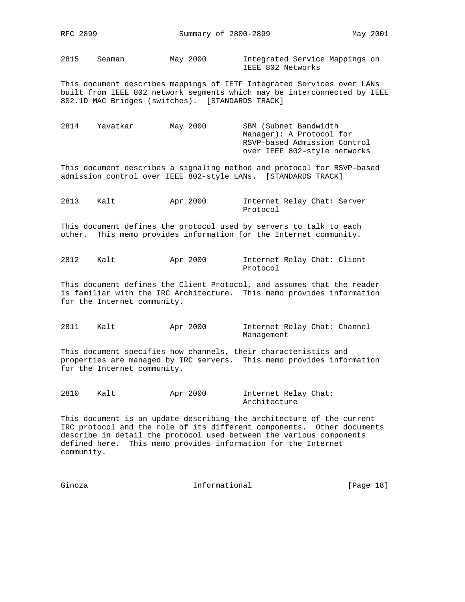2815 Seaman May 2000 Integrated Service Mappings on IEEE 802 Networks

This document describes mappings of IETF Integrated Services over LANs built from IEEE 802 network segments which may be interconnected by IEEE 802.1D MAC Bridges (switches). [STANDARDS TRACK]

| 2814 | Yavatkar | May 2000 | SBM (Subnet Bandwidth        |
|------|----------|----------|------------------------------|
|      |          |          | Manager): A Protocol for     |
|      |          |          | RSVP-based Admission Control |
|      |          |          | over IEEE 802-style networks |

This document describes a signaling method and protocol for RSVP-based admission control over IEEE 802-style LANs. [STANDARDS TRACK]

2813 Kalt Apr 2000 Internet Relay Chat: Server Protocol

This document defines the protocol used by servers to talk to each other. This memo provides information for the Internet community.

2812 Kalt Apr 2000 Internet Relay Chat: Client Protocol

This document defines the Client Protocol, and assumes that the reader is familiar with the IRC Architecture. This memo provides information for the Internet community.

2811 Kalt Apr 2000 Internet Relay Chat: Channel Management

This document specifies how channels, their characteristics and properties are managed by IRC servers. This memo provides information for the Internet community.

2810 Kalt Apr 2000 Internet Relay Chat: Architecture

This document is an update describing the architecture of the current IRC protocol and the role of its different components. Other documents describe in detail the protocol used between the various components defined here. This memo provides information for the Internet community.

Ginoza **Informational Informational** [Page 18]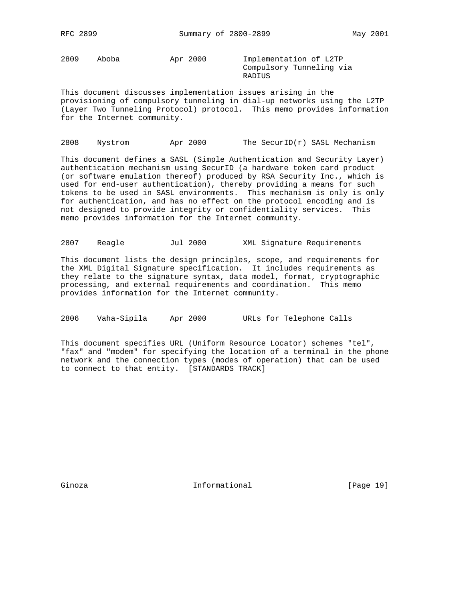2809 Aboba Apr 2000 Implementation of L2TP

 Compulsory Tunneling via RADIUS

This document discusses implementation issues arising in the provisioning of compulsory tunneling in dial-up networks using the L2TP (Layer Two Tunneling Protocol) protocol. This memo provides information for the Internet community.

2808 Nystrom Apr 2000 The SecurID $(r)$  SASL Mechanism

This document defines a SASL (Simple Authentication and Security Layer) authentication mechanism using SecurID (a hardware token card product (or software emulation thereof) produced by RSA Security Inc., which is used for end-user authentication), thereby providing a means for such tokens to be used in SASL environments. This mechanism is only is only for authentication, and has no effect on the protocol encoding and is not designed to provide integrity or confidentiality services. This memo provides information for the Internet community.

2807 Reagle Jul 2000 XML Signature Requirements

This document lists the design principles, scope, and requirements for the XML Digital Signature specification. It includes requirements as they relate to the signature syntax, data model, format, cryptographic processing, and external requirements and coordination. This memo provides information for the Internet community.

2806 Vaha-Sipila Apr 2000 URLs for Telephone Calls

This document specifies URL (Uniform Resource Locator) schemes "tel", "fax" and "modem" for specifying the location of a terminal in the phone network and the connection types (modes of operation) that can be used to connect to that entity. [STANDARDS TRACK]

Ginoza **Informational Informational** [Page 19]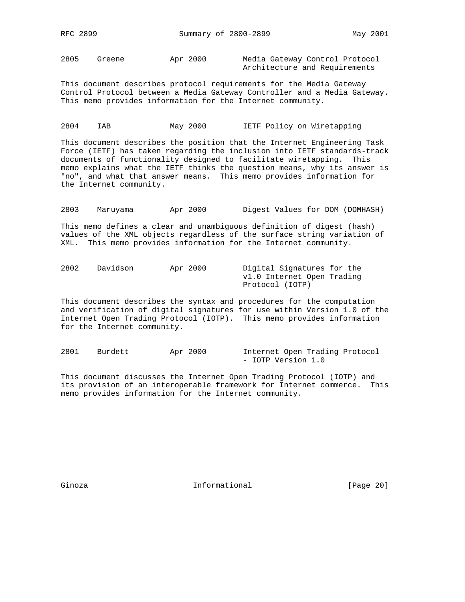2805 Greene Apr 2000 Media Gateway Control Protocol Architecture and Requirements

This document describes protocol requirements for the Media Gateway Control Protocol between a Media Gateway Controller and a Media Gateway. This memo provides information for the Internet community.

# 2804 IAB May 2000 IETF Policy on Wiretapping

This document describes the position that the Internet Engineering Task Force (IETF) has taken regarding the inclusion into IETF standards-track documents of functionality designed to facilitate wiretapping. This memo explains what the IETF thinks the question means, why its answer is "no", and what that answer means. This memo provides information for the Internet community.

2803 Maruyama Apr 2000 Digest Values for DOM (DOMHASH)

This memo defines a clear and unambiguous definition of digest (hash) values of the XML objects regardless of the surface string variation of XML. This memo provides information for the Internet community.

| 2802 | Davidson | Apr 2000 | Digital Signatures for the |
|------|----------|----------|----------------------------|
|      |          |          | v1.0 Internet Open Trading |
|      |          |          | Protocol (IOTP)            |

This document describes the syntax and procedures for the computation and verification of digital signatures for use within Version 1.0 of the Internet Open Trading Protocol (IOTP). This memo provides information for the Internet community.

2801 Burdett Apr 2000 Internet Open Trading Protocol - IOTP Version 1.0

This document discusses the Internet Open Trading Protocol (IOTP) and its provision of an interoperable framework for Internet commerce. This memo provides information for the Internet community.

Ginoza **Informational Informational** [Page 20]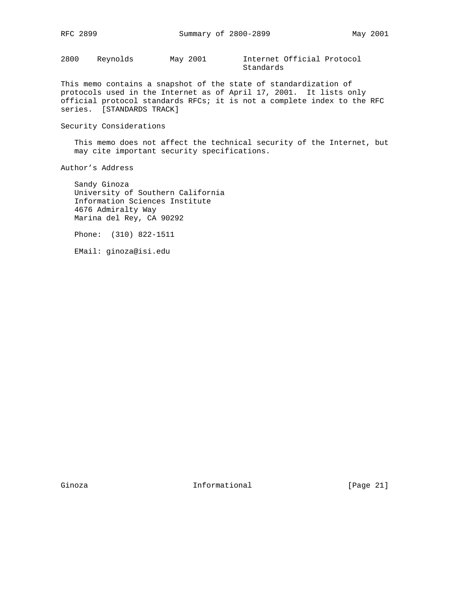2800 Reynolds May 2001 Internet Official Protocol

Standards

This memo contains a snapshot of the state of standardization of protocols used in the Internet as of April 17, 2001. It lists only official protocol standards RFCs; it is not a complete index to the RFC series. [STANDARDS TRACK]

#### Security Considerations

 This memo does not affect the technical security of the Internet, but may cite important security specifications.

Author's Address

 Sandy Ginoza University of Southern California Information Sciences Institute 4676 Admiralty Way Marina del Rey, CA 90292

Phone: (310) 822-1511

EMail: ginoza@isi.edu

Ginoza **Informational Informational** [Page 21]